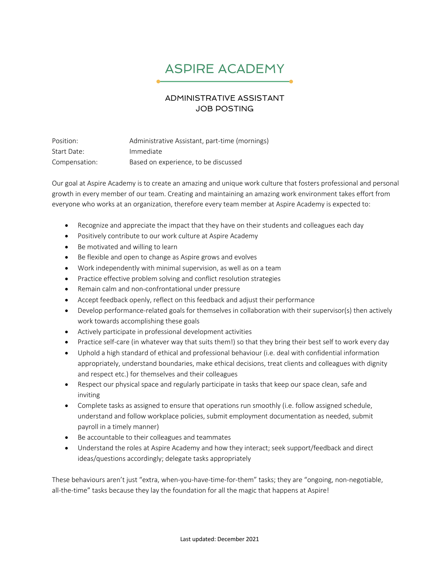## ASPIRE ACADEMY

## ADMINISTRATIVE ASSISTANT JOB POSTING

Position: Administrative Assistant, part-time (mornings) Start Date: Immediate Compensation: Based on experience, to be discussed

Our goal at Aspire Academy is to create an amazing and unique work culture that fosters professional and personal growth in every member of our team. Creating and maintaining an amazing work environment takes effort from everyone who works at an organization, therefore every team member at Aspire Academy is expected to:

- Recognize and appreciate the impact that they have on their students and colleagues each day
- Positively contribute to our work culture at Aspire Academy
- Be motivated and willing to learn
- Be flexible and open to change as Aspire grows and evolves
- Work independently with minimal supervision, as well as on a team
- Practice effective problem solving and conflict resolution strategies
- Remain calm and non-confrontational under pressure
- Accept feedback openly, reflect on this feedback and adjust their performance
- Develop performance-related goals for themselves in collaboration with their supervisor(s) then actively work towards accomplishing these goals
- Actively participate in professional development activities
- Practice self-care (in whatever way that suits them!) so that they bring their best self to work every day
- Uphold a high standard of ethical and professional behaviour (i.e. deal with confidential information appropriately, understand boundaries, make ethical decisions, treat clients and colleagues with dignity and respect etc.) for themselves and their colleagues
- Respect our physical space and regularly participate in tasks that keep our space clean, safe and inviting
- Complete tasks as assigned to ensure that operations run smoothly (i.e. follow assigned schedule, understand and follow workplace policies, submit employment documentation as needed, submit payroll in a timely manner)
- Be accountable to their colleagues and teammates
- Understand the roles at Aspire Academy and how they interact; seek support/feedback and direct ideas/questions accordingly; delegate tasks appropriately

These behaviours aren't just "extra, when-you-have-time-for-them" tasks; they are "ongoing, non-negotiable, all-the-time" tasks because they lay the foundation for all the magic that happens at Aspire!